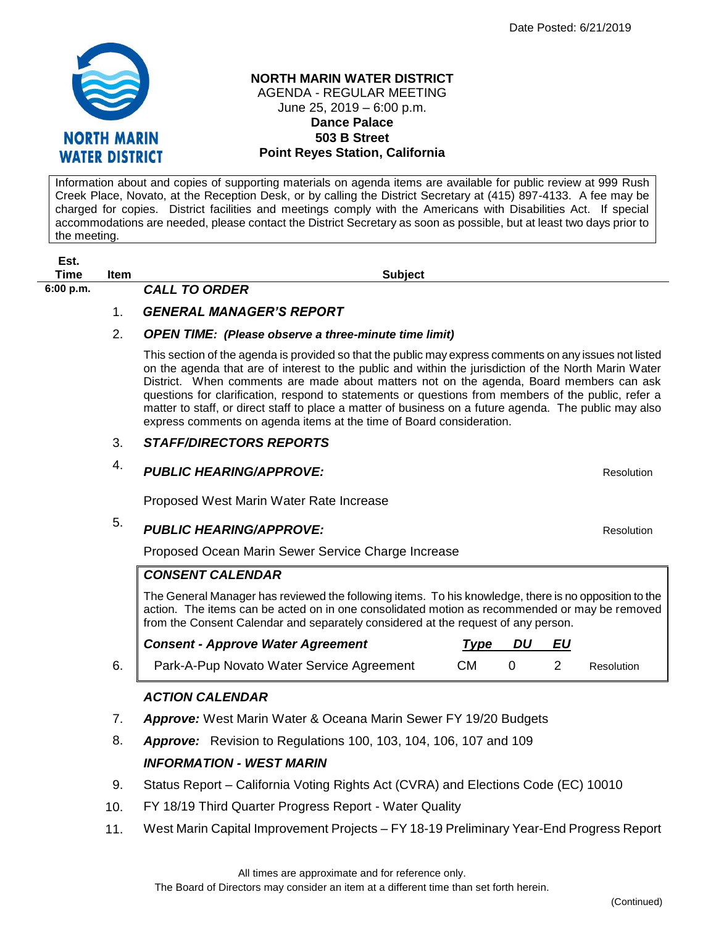

#### **NORTH MARIN WATER DISTRICT** AGENDA - REGULAR MEETING June 25, 2019 – 6:00 p.m. **Dance Palace 503 B Street Point Reyes Station, California**

Information about and copies of supporting materials on agenda items are available for public review at 999 Rush Creek Place, Novato, at the Reception Desk, or by calling the District Secretary at (415) 897-4133. A fee may be charged for copies. District facilities and meetings comply with the Americans with Disabilities Act. If special accommodations are needed, please contact the District Secretary as soon as possible, but at least two days prior to the meeting.

| ΞSτ. |      |
|------|------|
| Time | Item |
|      |      |

**6:00 p.m.** *CALL TO ORDER* 

**Est.**

## 1. *GENERAL MANAGER'S REPORT*

### 2. *OPEN TIME: (Please observe a three-minute time limit)*

This section of the agenda is provided so that the public may express comments on any issues not listed on the agenda that are of interest to the public and within the jurisdiction of the North Marin Water District. When comments are made about matters not on the agenda, Board members can ask questions for clarification, respond to statements or questions from members of the public, refer a matter to staff, or direct staff to place a matter of business on a future agenda. The public may also express comments on agenda items at the time of Board consideration.

**Subject** 

## 3. *STAFF/DIRECTORS REPORTS*

# 4. *PUBLIC HEARING/APPROVE:* Resolution

Proposed West Marin Water Rate Increase

# 5. **PUBLIC HEARING/APPROVE: Resolution** Resolution

Proposed Ocean Marin Sewer Service Charge Increase

### *CONSENT CALENDAR*

The General Manager has reviewed the following items. To his knowledge, there is no opposition to the action. The items can be acted on in one consolidated motion as recommended or may be removed from the Consent Calendar and separately considered at the request of any person.

| <b>Consent - Approve Water Agreement</b>  | Tvpe | DU | - EU |            |
|-------------------------------------------|------|----|------|------------|
| Park-A-Pup Novato Water Service Agreement | CМ   |    |      | Resolution |

# *ACTION CALENDAR*

- 7. *Approve:* West Marin Water & Oceana Marin Sewer FY 19/20 Budgets
- 8. *Approve:* Revision to Regulations 100, 103, 104, 106, 107 and 109 *INFORMATION - WEST MARIN*
- 9. Status Report California Voting Rights Act (CVRA) and Elections Code (EC) 10010
- 10. FY 18/19 Third Quarter Progress Report Water Quality
- 11. West Marin Capital Improvement Projects FY 18-19 Preliminary Year-End Progress Report